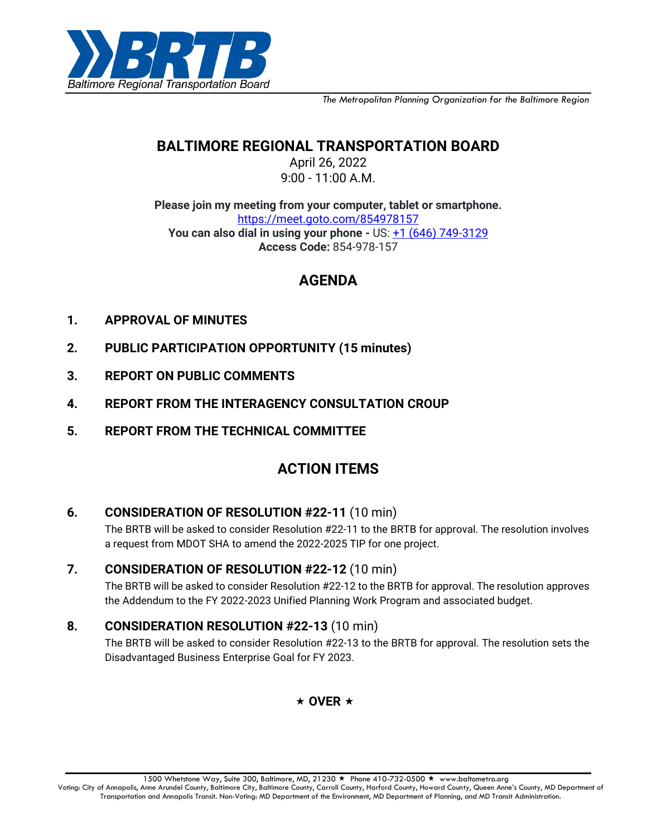

*The Metropolitan Planning Organization for the Baltimore Region*

# **BALTIMORE REGIONAL TRANSPORTATION BOARD**

April 26, 2022 9:00 - 11:00 A.M.

**Please join my meeting from your computer, tablet or smartphone.** [https://meet.goto.com/854978157](https://meet.goto.com/854978157?_ga=2.249567558.1374719646.1649677393-1096614891.1639411184) **You can also dial in using your phone -** US: [+1 \(646\) 749-3129](tel:+16467493129,,854978157) **Access Code:** 854-978-157

## **AGENDA**

- **1. APPROVAL OF MINUTES**
- **2. PUBLIC PARTICIPATION OPPORTUNITY (15 minutes)**
- **3. REPORT ON PUBLIC COMMENTS**
- **4. REPORT FROM THE INTERAGENCY CONSULTATION CROUP**
- **5. REPORT FROM THE TECHNICAL COMMITTEE**

# **ACTION ITEMS**

#### **6. CONSIDERATION OF RESOLUTION #22-11** (10 min)

The BRTB will be asked to consider Resolution #22-11 to the BRTB for approval. The resolution involves a request from MDOT SHA to amend the 2022-2025 TIP for one project.

## **7. CONSIDERATION OF RESOLUTION #22-12** (10 min)

The BRTB will be asked to consider Resolution #22-12 to the BRTB for approval. The resolution approves the Addendum to the FY 2022-2023 Unified Planning Work Program and associated budget.

## **8. CONSIDERATION RESOLUTION #22-13** (10 min)

The BRTB will be asked to consider Resolution #22-13 to the BRTB for approval. The resolution sets the Disadvantaged Business Enterprise Goal for FY 2023.

#### $\star$  OVER  $\star$

Voting: City of Annapolis, Anne Arundel County, Baltimore City, Baltimore County, Carroll County, Harford County, Howard County, Queen Anne's County, MD Department of Transportation and Annapolis Transit. Non-Voting: MD Department of the Environment, MD Department of Planning, and MD Transit Administration.